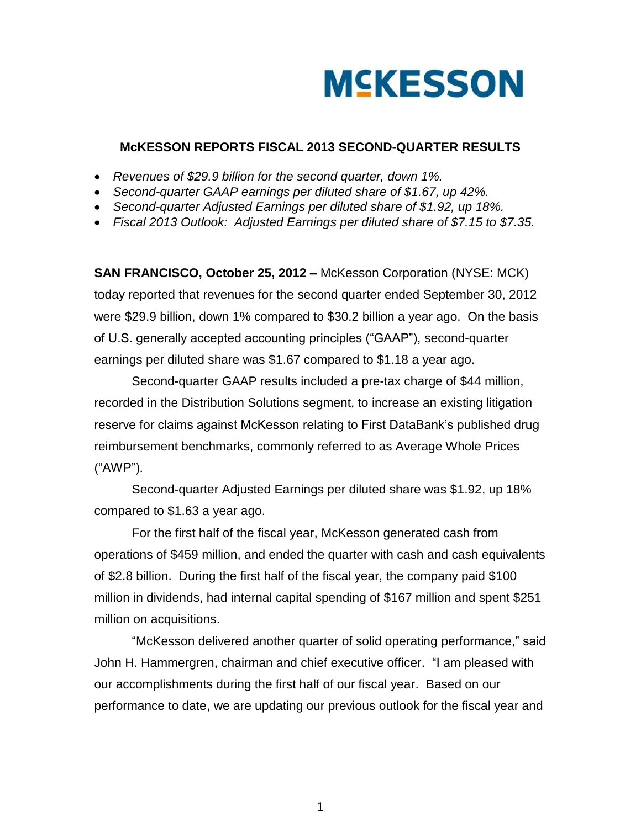

# **McKESSON REPORTS FISCAL 2013 SECOND-QUARTER RESULTS**

- *Revenues of \$29.9 billion for the second quarter, down 1%.*
- *Second-quarter GAAP earnings per diluted share of \$1.67, up 42%.*
- *Second-quarter Adjusted Earnings per diluted share of \$1.92, up 18%.*
- *Fiscal 2013 Outlook: Adjusted Earnings per diluted share of \$7.15 to \$7.35.*

**SAN FRANCISCO, October 25, 2012 –** McKesson Corporation (NYSE: MCK) today reported that revenues for the second quarter ended September 30, 2012 were \$29.9 billion, down 1% compared to \$30.2 billion a year ago. On the basis of U.S. generally accepted accounting principles ("GAAP"), second-quarter earnings per diluted share was \$1.67 compared to \$1.18 a year ago.

Second-quarter GAAP results included a pre-tax charge of \$44 million, recorded in the Distribution Solutions segment, to increase an existing litigation reserve for claims against McKesson relating to First DataBank"s published drug reimbursement benchmarks, commonly referred to as Average Whole Prices ("AWP").

Second-quarter Adjusted Earnings per diluted share was \$1.92, up 18% compared to \$1.63 a year ago.

For the first half of the fiscal year, McKesson generated cash from operations of \$459 million, and ended the quarter with cash and cash equivalents of \$2.8 billion. During the first half of the fiscal year, the company paid \$100 million in dividends, had internal capital spending of \$167 million and spent \$251 million on acquisitions.

"McKesson delivered another quarter of solid operating performance," said John H. Hammergren, chairman and chief executive officer. "I am pleased with our accomplishments during the first half of our fiscal year. Based on our performance to date, we are updating our previous outlook for the fiscal year and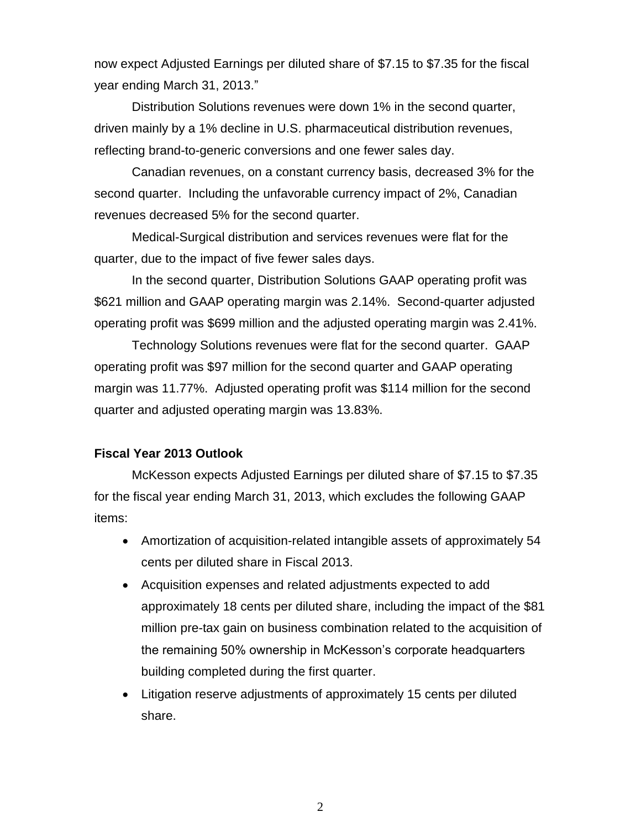now expect Adjusted Earnings per diluted share of \$7.15 to \$7.35 for the fiscal year ending March 31, 2013."

Distribution Solutions revenues were down 1% in the second quarter, driven mainly by a 1% decline in U.S. pharmaceutical distribution revenues, reflecting brand-to-generic conversions and one fewer sales day.

Canadian revenues, on a constant currency basis, decreased 3% for the second quarter. Including the unfavorable currency impact of 2%, Canadian revenues decreased 5% for the second quarter.

Medical-Surgical distribution and services revenues were flat for the quarter, due to the impact of five fewer sales days.

In the second quarter, Distribution Solutions GAAP operating profit was \$621 million and GAAP operating margin was 2.14%. Second-quarter adjusted operating profit was \$699 million and the adjusted operating margin was 2.41%.

Technology Solutions revenues were flat for the second quarter. GAAP operating profit was \$97 million for the second quarter and GAAP operating margin was 11.77%. Adjusted operating profit was \$114 million for the second quarter and adjusted operating margin was 13.83%.

## **Fiscal Year 2013 Outlook**

McKesson expects Adjusted Earnings per diluted share of \$7.15 to \$7.35 for the fiscal year ending March 31, 2013, which excludes the following GAAP items:

- Amortization of acquisition-related intangible assets of approximately 54 cents per diluted share in Fiscal 2013.
- Acquisition expenses and related adjustments expected to add approximately 18 cents per diluted share, including the impact of the \$81 million pre-tax gain on business combination related to the acquisition of the remaining 50% ownership in McKesson's corporate headquarters building completed during the first quarter.
- Litigation reserve adjustments of approximately 15 cents per diluted share.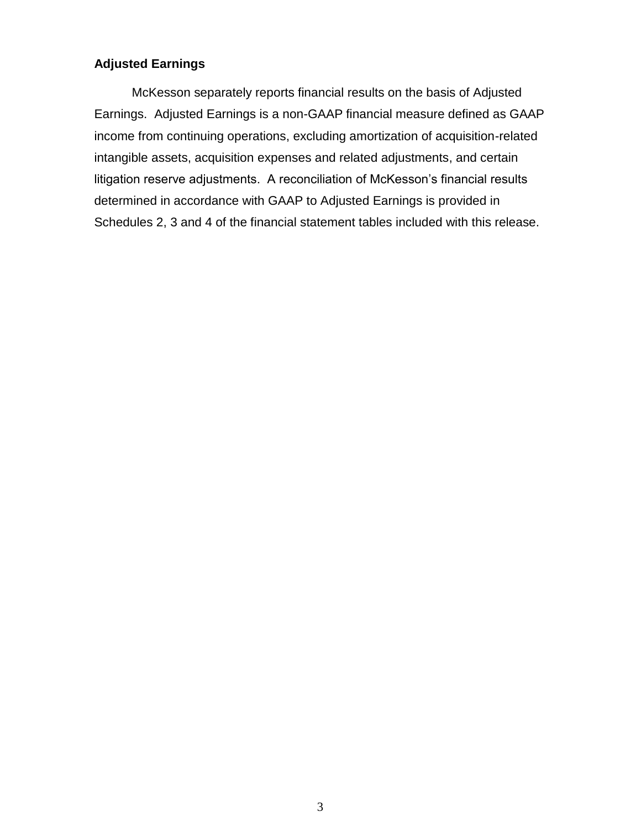# **Adjusted Earnings**

McKesson separately reports financial results on the basis of Adjusted Earnings. Adjusted Earnings is a non-GAAP financial measure defined as GAAP income from continuing operations, excluding amortization of acquisition-related intangible assets, acquisition expenses and related adjustments, and certain litigation reserve adjustments. A reconciliation of McKesson"s financial results determined in accordance with GAAP to Adjusted Earnings is provided in Schedules 2, 3 and 4 of the financial statement tables included with this release.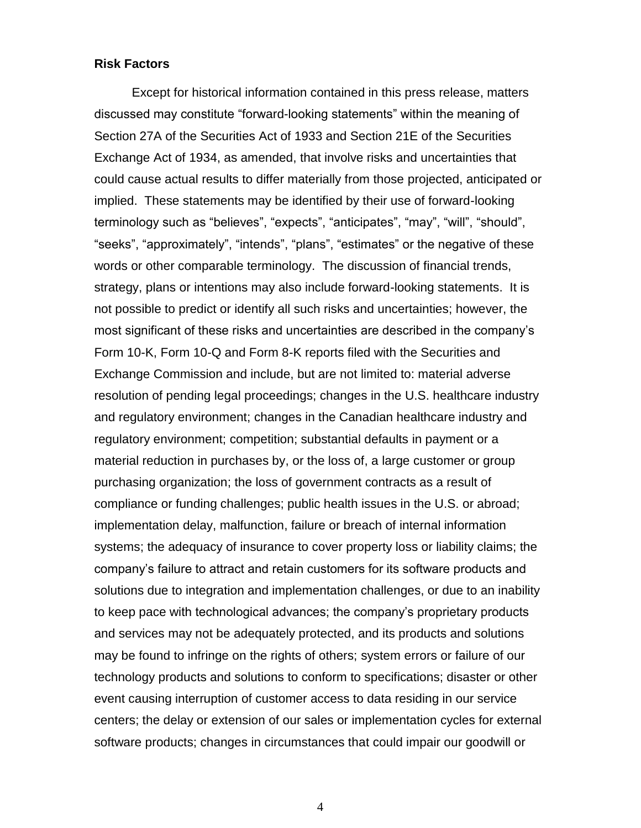## **Risk Factors**

Except for historical information contained in this press release, matters discussed may constitute "forward-looking statements" within the meaning of Section 27A of the Securities Act of 1933 and Section 21E of the Securities Exchange Act of 1934, as amended, that involve risks and uncertainties that could cause actual results to differ materially from those projected, anticipated or implied. These statements may be identified by their use of forward-looking terminology such as "believes", "expects", "anticipates", "may", "will", "should", "seeks", "approximately", "intends", "plans", "estimates" or the negative of these words or other comparable terminology. The discussion of financial trends, strategy, plans or intentions may also include forward-looking statements. It is not possible to predict or identify all such risks and uncertainties; however, the most significant of these risks and uncertainties are described in the company"s Form 10-K, Form 10-Q and Form 8-K reports filed with the Securities and Exchange Commission and include, but are not limited to: material adverse resolution of pending legal proceedings; changes in the U.S. healthcare industry and regulatory environment; changes in the Canadian healthcare industry and regulatory environment; competition; substantial defaults in payment or a material reduction in purchases by, or the loss of, a large customer or group purchasing organization; the loss of government contracts as a result of compliance or funding challenges; public health issues in the U.S. or abroad; implementation delay, malfunction, failure or breach of internal information systems; the adequacy of insurance to cover property loss or liability claims; the company"s failure to attract and retain customers for its software products and solutions due to integration and implementation challenges, or due to an inability to keep pace with technological advances; the company"s proprietary products and services may not be adequately protected, and its products and solutions may be found to infringe on the rights of others; system errors or failure of our technology products and solutions to conform to specifications; disaster or other event causing interruption of customer access to data residing in our service centers; the delay or extension of our sales or implementation cycles for external software products; changes in circumstances that could impair our goodwill or

4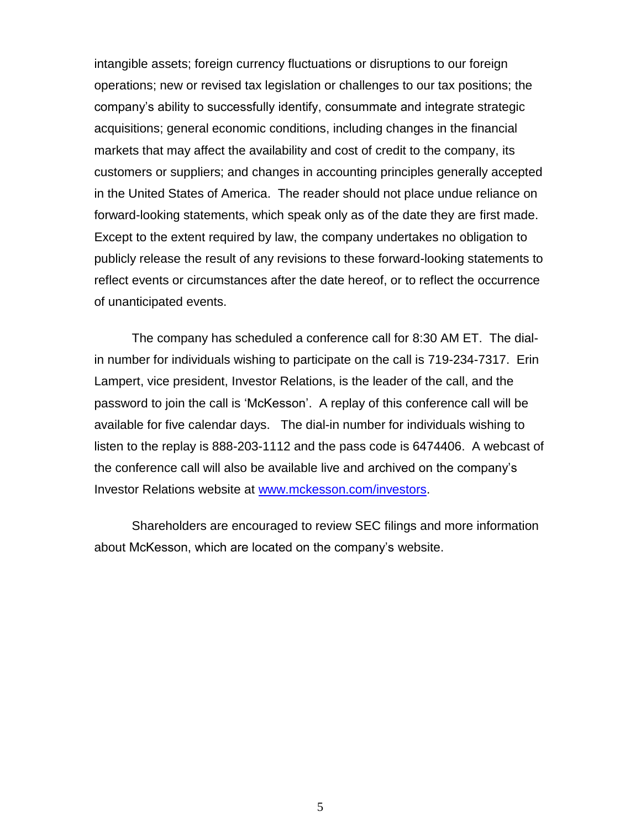intangible assets; foreign currency fluctuations or disruptions to our foreign operations; new or revised tax legislation or challenges to our tax positions; the company"s ability to successfully identify, consummate and integrate strategic acquisitions; general economic conditions, including changes in the financial markets that may affect the availability and cost of credit to the company, its customers or suppliers; and changes in accounting principles generally accepted in the United States of America.The reader should not place undue reliance on forward-looking statements, which speak only as of the date they are first made. Except to the extent required by law, the company undertakes no obligation to publicly release the result of any revisions to these forward-looking statements to reflect events or circumstances after the date hereof, or to reflect the occurrence of unanticipated events.

The company has scheduled a conference call for 8:30 AM ET. The dialin number for individuals wishing to participate on the call is 719-234-7317. Erin Lampert, vice president, Investor Relations, is the leader of the call, and the password to join the call is 'McKesson'. A replay of this conference call will be available for five calendar days. The dial-in number for individuals wishing to listen to the replay is 888-203-1112 and the pass code is 6474406. A webcast of the conference call will also be available live and archived on the company"s Investor Relations website at [www.mckesson.com/investors.](http://www.mckesson.com/investors)

Shareholders are encouraged to review SEC filings and more information about McKesson, which are located on the company"s website.

5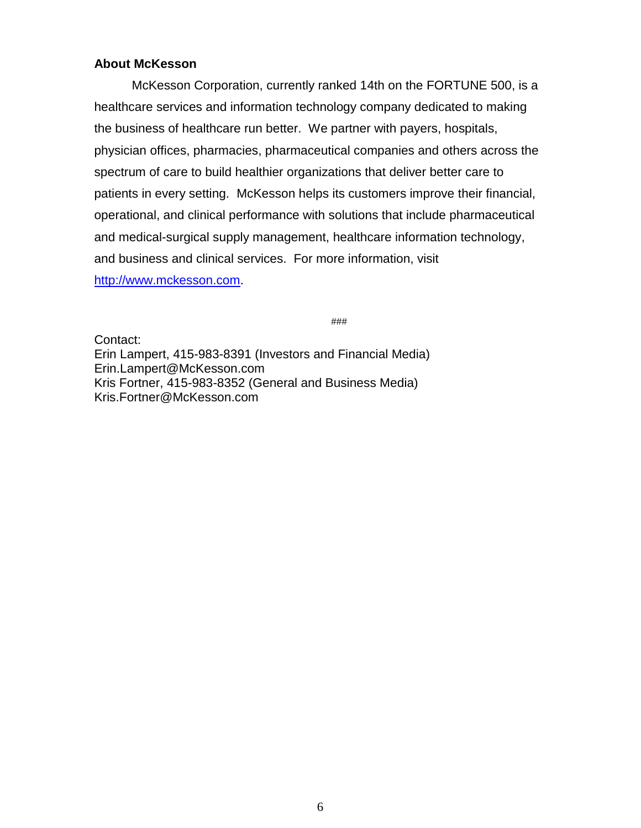# **About McKesson**

McKesson Corporation, currently ranked 14th on the FORTUNE 500, is a healthcare services and information technology company dedicated to making the business of healthcare run better. We partner with payers, hospitals, physician offices, pharmacies, pharmaceutical companies and others across the spectrum of care to build healthier organizations that deliver better care to patients in every setting. McKesson helps its customers improve their financial, operational, and clinical performance with solutions that include pharmaceutical and medical-surgical supply management, healthcare information technology, and business and clinical services. For more information, visit [http://www.mckesson.com.](http://www.mckesson.com/)

###

Contact:

Erin Lampert, 415-983-8391 (Investors and Financial Media) Erin.Lampert@McKesson.com Kris Fortner, 415-983-8352 (General and Business Media) Kris.Fortner@McKesson.com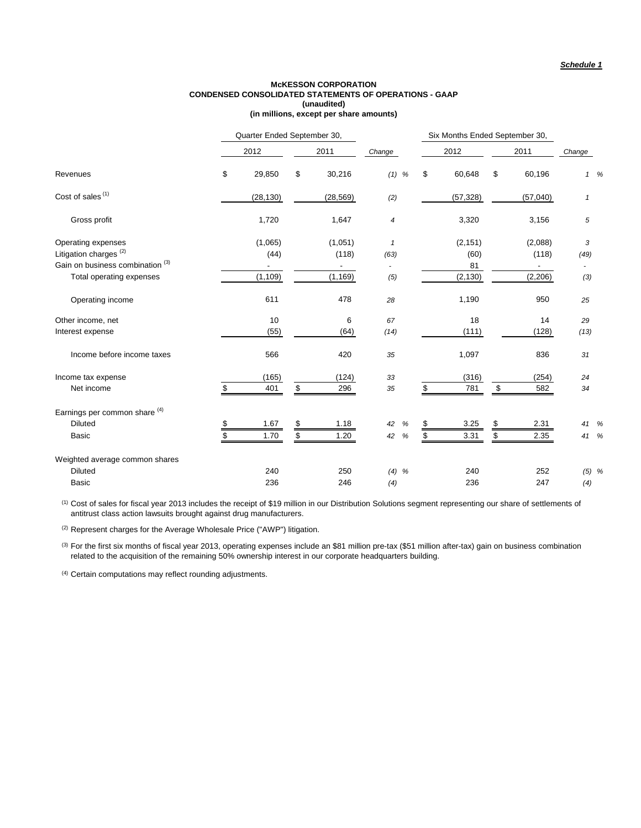#### **McKESSON CORPORATION CONDENSED CONSOLIDATED STATEMENTS OF OPERATIONS - GAAP (unaudited) (in millions, except per share amounts)**

|                                                         |                | Quarter Ended September 30, |                          |                          |                      |      | Six Months Ended September 30, |                 |                  |              |
|---------------------------------------------------------|----------------|-----------------------------|--------------------------|--------------------------|----------------------|------|--------------------------------|-----------------|------------------|--------------|
|                                                         |                | 2012                        |                          | 2011                     | Change               |      | 2012                           |                 | 2011             | Change       |
| Revenues                                                | \$             | 29,850                      | \$                       | 30,216                   | $(1)$ %              |      | \$<br>60,648                   | \$              | 60,196           | 1%           |
| Cost of sales <sup>(1)</sup>                            |                | (28, 130)                   |                          | (28, 569)                | (2)                  |      | (57, 328)                      |                 | (57,040)         | $\mathbf{1}$ |
| Gross profit                                            |                | 1,720                       |                          | 1,647                    | 4                    |      | 3,320                          |                 | 3,156            | 5            |
| Operating expenses<br>Litigation charges <sup>(2)</sup> |                | (1,065)<br>(44)             |                          | (1,051)<br>(118)         | $\mathbf{1}$<br>(63) |      | (2, 151)<br>(60)               |                 | (2,088)<br>(118) | 3<br>(49)    |
| Gain on business combination (3)                        |                |                             |                          | $\overline{\phantom{a}}$ |                      |      | 81                             |                 |                  |              |
| Total operating expenses                                |                | (1, 109)                    |                          | (1, 169)                 | (5)                  |      | (2, 130)                       |                 | (2,206)          | (3)          |
| Operating income                                        |                | 611                         |                          | 478                      | 28                   |      | 1,190                          |                 | 950              | 25           |
| Other income, net                                       |                | 10                          |                          | 6                        | 67                   |      | 18                             |                 | 14               | 29           |
| Interest expense                                        |                | (55)                        |                          | (64)                     | (14)                 |      | (111)                          |                 | (128)            | (13)         |
| Income before income taxes                              |                | 566                         |                          | 420                      | 35                   |      | 1,097                          |                 | 836              | 31           |
| Income tax expense                                      |                | (165)                       |                          | (124)                    | 33                   |      | (316)                          |                 | (254)            | 24           |
| Net income                                              | \$             | 401                         | $\frac{\mathfrak{S}}{2}$ | 296                      | 35                   |      | \$<br>781                      | \$              | 582              | 34           |
| Earnings per common share (4)                           |                |                             |                          |                          |                      |      |                                |                 |                  |              |
| <b>Diluted</b>                                          | $\frac{16}{3}$ | 1.67                        | $\frac{1}{2}$            | 1.18                     | 42                   | %    | \$<br>3.25                     | \$              | 2.31             | 41 %         |
| <b>Basic</b>                                            |                | 1.70                        |                          | 1.20                     | 42                   | $\%$ | \$<br>3.31                     | $\overline{\$}$ | 2.35             | 41 %         |
| Weighted average common shares                          |                |                             |                          |                          |                      |      |                                |                 |                  |              |
| <b>Diluted</b>                                          |                | 240                         |                          | 250                      | $(4)$ %              |      | 240                            |                 | 252              | $(5)$ %      |
| <b>Basic</b>                                            |                | 236                         |                          | 246                      | (4)                  |      | 236                            |                 | 247              | (4)          |

(1) Cost of sales for fiscal year 2013 includes the receipt of \$19 million in our Distribution Solutions segment representing our share of settlements of antitrust class action lawsuits brought against drug manufacturers.

<sup>(2)</sup> Represent charges for the Average Wholesale Price ("AWP") litigation.

(3) For the first six months of fiscal year 2013, operating expenses include an \$81 million pre-tax (\$51 million after-tax) gain on business combination related to the acquisition of the remaining 50% ownership interest in our corporate headquarters building.

(4) Certain computations may reflect rounding adjustments.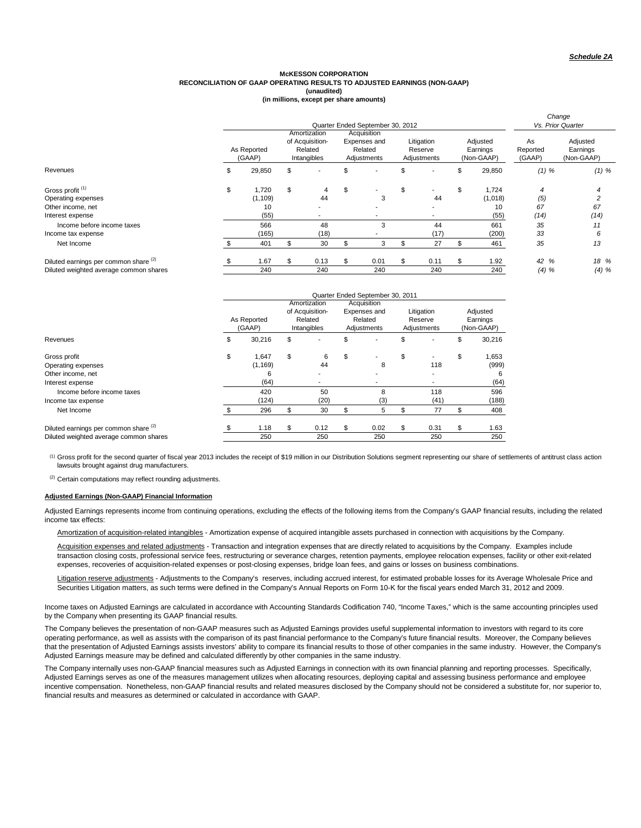#### **RECONCILIATION OF GAAP OPERATING RESULTS TO ADJUSTED EARNINGS (NON-GAAP) McKESSON CORPORATION (unaudited)**

|                                        |                       |     |                                                           | Quarter Ended September 30, 2012                      |  |                                      |     |                                    |                          | Change<br>Vs. Prior Quarter        |
|----------------------------------------|-----------------------|-----|-----------------------------------------------------------|-------------------------------------------------------|--|--------------------------------------|-----|------------------------------------|--------------------------|------------------------------------|
|                                        | As Reported<br>(GAAP) |     | Amortization<br>of Acquisition-<br>Related<br>Intangibles | Acquisition<br>Expenses and<br>Related<br>Adjustments |  | Litigation<br>Reserve<br>Adjustments |     | Adjusted<br>Earnings<br>(Non-GAAP) | As<br>Reported<br>(GAAP) | Adjusted<br>Earnings<br>(Non-GAAP) |
| Revenues                               | \$<br>29,850          | \$  |                                                           |                                                       |  |                                      | \$  | 29,850                             | (1) %                    | $(1) \%$                           |
| Gross profit <sup>(1)</sup>            | \$<br>1,720           | \$  | 4                                                         | \$                                                    |  |                                      | \$  | 1,724                              | 4                        | 4                                  |
| Operating expenses                     | (1, 109)              |     | 44                                                        | 3                                                     |  | 44                                   |     | (1,018)                            | (5)                      |                                    |
| Other income, net                      | 10                    |     |                                                           |                                                       |  |                                      |     | 10                                 | 67                       | 67                                 |
| Interest expense                       | (55)                  |     | $\overline{\phantom{a}}$                                  |                                                       |  |                                      |     | (55)                               | (14)                     | (14)                               |
| Income before income taxes             | 566                   |     | 48                                                        | 3                                                     |  | 44                                   |     | 661                                | 35                       | 11                                 |
| Income tax expense                     | (165)                 |     | (18)                                                      |                                                       |  | (17)                                 |     | (200)                              | 33                       | 6                                  |
| Net Income                             | 401                   | S   | 30                                                        | 3                                                     |  | 27                                   | S   | 461                                | 35                       | 13                                 |
| Diluted earnings per common share (2)  | 1.67                  | \$. | 0.13                                                      | 0.01                                                  |  | 0.11                                 | \$. | 1.92                               | 42 %                     | 18 %                               |
| Diluted weighted average common shares | 240                   |     | 240                                                       | 240                                                   |  | 240                                  |     | 240                                | (4) %                    | $(4)$ %                            |

|                                        | Quarter Ended September 30, 2011 |                       |     |                                                           |                                                       |      |                                      |      |    |                                    |
|----------------------------------------|----------------------------------|-----------------------|-----|-----------------------------------------------------------|-------------------------------------------------------|------|--------------------------------------|------|----|------------------------------------|
|                                        |                                  | As Reported<br>(GAAP) |     | Amortization<br>of Acquisition-<br>Related<br>Intangibles | Acquisition<br>Expenses and<br>Related<br>Adjustments |      | Litigation<br>Reserve<br>Adjustments |      |    | Adjusted<br>Earnings<br>(Non-GAAP) |
| Revenues                               | S                                | 30,216                | \$  | $\blacksquare$                                            | \$                                                    |      | \$                                   |      | \$ | 30,216                             |
| Gross profit                           | \$                               | 1,647                 | \$  | 6                                                         | \$                                                    |      | \$                                   |      | \$ | 1,653                              |
| Operating expenses                     |                                  | (1, 169)              |     | 44                                                        |                                                       | 8    |                                      | 118  |    | (999)                              |
| Other income, net                      |                                  | 6                     |     |                                                           |                                                       |      |                                      |      |    | 6                                  |
| Interest expense                       |                                  | (64)                  |     |                                                           |                                                       |      |                                      |      |    | (64)                               |
| Income before income taxes             |                                  | 420                   |     | 50                                                        |                                                       | 8    |                                      | 118  |    | 596                                |
| Income tax expense                     |                                  | (124)                 |     | (20)                                                      |                                                       | (3)  |                                      | (41) |    | (188)                              |
| Net Income                             |                                  | 296                   | \$  | 30                                                        | \$                                                    | 5    | \$                                   | 77   | \$ | 408                                |
| Diluted earnings per common share (2)  |                                  | 1.18                  | \$. | 0.12                                                      | \$                                                    | 0.02 | \$                                   | 0.31 | \$ | 1.63                               |
| Diluted weighted average common shares |                                  | 250                   |     | 250                                                       |                                                       | 250  |                                      | 250  |    | 250                                |

Diluted weighted average common shares 250 250 250 250 (1) Gross profit for the second quarter of fiscal year 2013 includes the receipt of \$19 million in our Distribution Solutions segment representing our share of settlements of antitrust class action lawsuits brought against drug manufacturers.

(2) Certain computations may reflect rounding adjustments.

#### **Adjusted Earnings (Non-GAAP) Financial Information**

Adjusted Earnings represents income from continuing operations, excluding the effects of the following items from the Company's GAAP financial results, including the related income tax effects:

Amortization of acquisition-related intangibles - Amortization expense of acquired intangible assets purchased in connection with acquisitions by the Company.

Acquisition expenses and related adjustments - Transaction and integration expenses that are directly related to acquisitions by the Company. Examples include transaction closing costs, professional service fees, restructuring or severance charges, retention payments, employee relocation expenses, facility or other exit-related expenses, recoveries of acquisition-related expenses or post-closing expenses, bridge loan fees, and gains or losses on business combinations.

Litigation reserve adjustments - Adjustments to the Company's reserves, including accrued interest, for estimated probable losses for its Average Wholesale Price and Securities Litigation matters, as such terms were defined in the Company's Annual Reports on Form 10-K for the fiscal years ended March 31, 2012 and 2009.

Income taxes on Adjusted Earnings are calculated in accordance with Accounting Standards Codification 740, "Income Taxes," which is the same accounting principles used by the Company when presenting its GAAP financial results.

The Company believes the presentation of non-GAAP measures such as Adjusted Earnings provides useful supplemental information to investors with regard to its core operating performance, as well as assists with the comparison of its past financial performance to the Company's future financial results. Moreover, the Company believes that the presentation of Adjusted Earnings assists investors' ability to compare its financial results to those of other companies in the same industry. However, the Company's Adjusted Earnings measure may be defined and calculated differently by other companies in the same industry.

The Company internally uses non-GAAP financial measures such as Adjusted Earnings in connection with its own financial planning and reporting processes. Specifically, Adjusted Earnings serves as one of the measures management utilizes when allocating resources, deploying capital and assessing business performance and employee incentive compensation. Nonetheless, non-GAAP financial results and related measures disclosed by the Company should not be considered a substitute for, nor superior to, financial results and measures as determined or calculated in accordance with GAAP.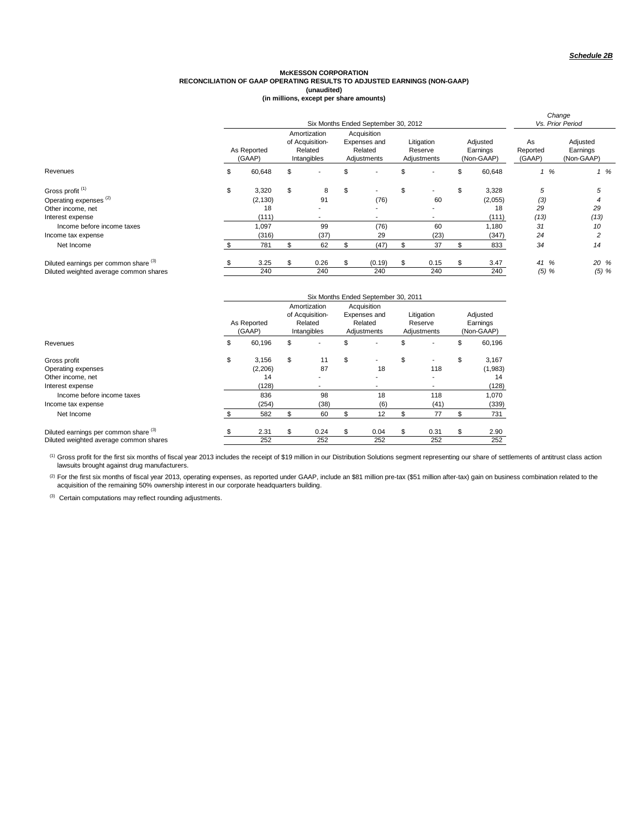#### **(in millions, except per share amounts) McKESSON CORPORATION RECONCILIATION OF GAAP OPERATING RESULTS TO ADJUSTED EARNINGS (NON-GAAP) (unaudited)**

|                                        |                       |                                                           | Six Months Ended September 30, 2012                   |                                      |                                    |         |                          | Change<br>Vs. Prior Period         |
|----------------------------------------|-----------------------|-----------------------------------------------------------|-------------------------------------------------------|--------------------------------------|------------------------------------|---------|--------------------------|------------------------------------|
|                                        | As Reported<br>(GAAP) | Amortization<br>of Acquisition-<br>Related<br>Intangibles | Acquisition<br>Expenses and<br>Related<br>Adjustments | Litigation<br>Reserve<br>Adjustments | Adjusted<br>Earnings<br>(Non-GAAP) |         | As<br>Reported<br>(GAAP) | Adjusted<br>Earnings<br>(Non-GAAP) |
| Revenues                               | \$<br>60,648          | \$                                                        |                                                       |                                      | \$                                 | 60,648  | %                        | $1\%$                              |
| Gross profit <sup>(1)</sup>            | \$<br>3,320           | \$<br>8                                                   | \$                                                    | \$                                   | \$                                 | 3,328   | 5                        | 5                                  |
| Operating expenses <sup>(2)</sup>      | (2, 130)              | 91                                                        | (76)                                                  | 60                                   |                                    | (2,055) | (3)                      | 4                                  |
| Other income, net                      | 18                    | ۰                                                         |                                                       |                                      |                                    | 18      | 29                       | 29                                 |
| Interest expense                       | (111)                 | $\overline{\phantom{a}}$                                  |                                                       |                                      |                                    | (111)   | (13)                     | (13)                               |
| Income before income taxes             | 1,097                 | 99                                                        | (76)                                                  | 60                                   |                                    | 1,180   | 31                       | 10                                 |
| Income tax expense                     | (316)                 | (37)                                                      | 29                                                    | (23)                                 |                                    | (347)   | 24                       | 2                                  |
| Net Income                             | 781                   | 62                                                        | (47)                                                  | 37                                   |                                    | 833     | 34                       | 14                                 |
| Diluted earnings per common share (3)  | 3.25                  | \$<br>0.26                                                | (0.19)                                                | 0.15                                 | \$.                                | 3.47    | 41 %                     | 20 %                               |
| Diluted weighted average common shares | 240                   | 240                                                       | 240                                                   | 240                                  |                                    | 240     | (5) %                    | (5) %                              |

|                                        |    |                       |                                                           | Six Months Ended September 30, 2011                   |                                      |                                    |
|----------------------------------------|----|-----------------------|-----------------------------------------------------------|-------------------------------------------------------|--------------------------------------|------------------------------------|
|                                        |    | As Reported<br>(GAAP) | Amortization<br>of Acquisition-<br>Related<br>Intangibles | Acquisition<br>Expenses and<br>Related<br>Adjustments | Litigation<br>Reserve<br>Adjustments | Adjusted<br>Earnings<br>(Non-GAAP) |
| Revenues                               | \$ | 60,196                | \$                                                        | \$                                                    | \$                                   | \$<br>60,196                       |
| Gross profit                           | \$ | 3,156                 | \$<br>11                                                  | \$                                                    | \$                                   | \$<br>3,167                        |
| Operating expenses                     |    | (2,206)               | 87                                                        | 18                                                    | 118                                  | (1,983)                            |
| Other income, net                      |    | 14                    |                                                           |                                                       |                                      | 14                                 |
| Interest expense                       |    | (128)                 |                                                           |                                                       |                                      | (128)                              |
| Income before income taxes             |    | 836                   | 98                                                        | 18                                                    | 118                                  | 1,070                              |
| Income tax expense                     |    | (254)                 | (38)                                                      | (6)                                                   | (41)                                 | (339)                              |
| Net Income                             |    | 582                   | \$<br>60                                                  | \$<br>12                                              | \$<br>77                             | \$<br>731                          |
| Diluted earnings per common share (3)  | S  | 2.31                  | \$<br>0.24                                                | \$<br>0.04                                            | \$<br>0.31                           | \$<br>2.90                         |
| Diluted weighted average common shares |    | 252                   | 252                                                       | 252                                                   | 252                                  | 252                                |

<sup>(1)</sup> Gross profit for the first six months of fiscal year 2013 includes the receipt of \$19 million in our Distribution Solutions segment representing our share of settlements of antitrust class action lawsuits brought against drug manufacturers.

<sup>(2)</sup> For the first six months of fiscal year 2013, operating expenses, as reported under GAAP, include an \$81 million pre-tax (\$51 million after-tax) gain on business combination related to the<br>acquisition of the remainin

(3) Certain computations may reflect rounding adjustments.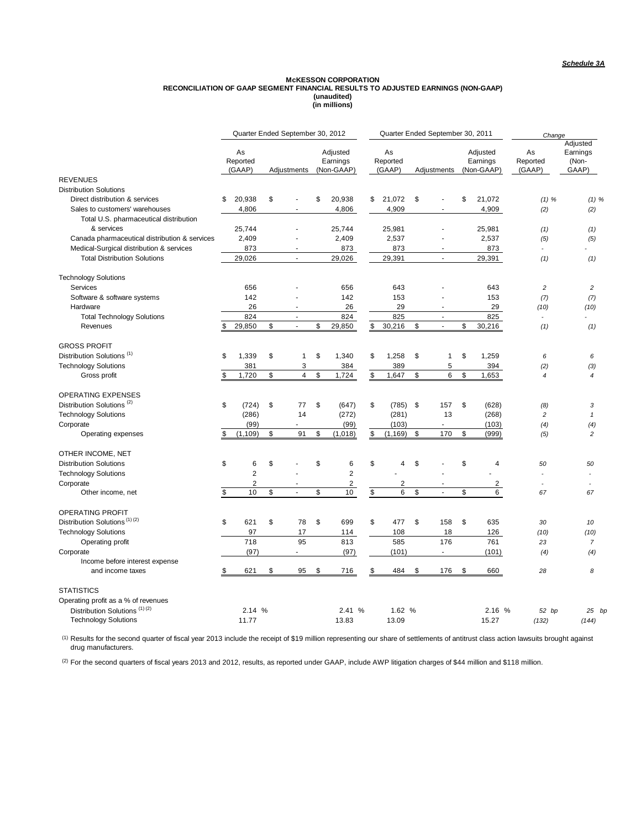# **RECONCILIATION OF GAAP SEGMENT FINANCIAL RESULTS TO ADJUSTED EARNINGS (NON-GAAP) (unaudited) (in millions) McKESSON CORPORATION**

|                                               |                          | Quarter Ended September 30, 2012 |                                    | Quarter Ended September 30, 2011 |                     |                                    | Change                   |                                        |
|-----------------------------------------------|--------------------------|----------------------------------|------------------------------------|----------------------------------|---------------------|------------------------------------|--------------------------|----------------------------------------|
|                                               | As<br>Reported<br>(GAAP) | Adjustments                      | Adjusted<br>Earnings<br>(Non-GAAP) | As<br>Reported<br>(GAAP)         | Adjustments         | Adjusted<br>Earnings<br>(Non-GAAP) | As<br>Reported<br>(GAAP) | Adjusted<br>Earnings<br>(Non-<br>GAAP) |
| <b>REVENUES</b>                               |                          |                                  |                                    |                                  |                     |                                    |                          |                                        |
| <b>Distribution Solutions</b>                 |                          |                                  |                                    |                                  |                     |                                    |                          |                                        |
| Direct distribution & services                | \$<br>20,938             | \$                               | \$<br>20,938                       | \$<br>21,072                     | \$                  | \$<br>21,072                       | (1) %                    | (1) %                                  |
| Sales to customers' warehouses                | 4,806                    |                                  | 4,806                              | 4,909                            | ä,                  | 4,909                              | (2)                      | (2)                                    |
| Total U.S. pharmaceutical distribution        |                          |                                  |                                    |                                  |                     |                                    |                          |                                        |
| & services                                    | 25,744                   |                                  | 25,744                             | 25,981                           | Ĭ.                  | 25,981                             | (1)                      | (1)                                    |
| Canada pharmaceutical distribution & services | 2,409                    | ä,                               | 2,409                              | 2,537                            | ä,                  | 2,537                              | (5)                      | (5)                                    |
| Medical-Surgical distribution & services      | 873                      |                                  | 873                                | 873                              |                     | 873                                |                          |                                        |
| <b>Total Distribution Solutions</b>           | 29,026                   | ÷.                               | 29,026                             | 29,391                           | $\blacksquare$      | 29,391                             | (1)                      | (1)                                    |
| <b>Technology Solutions</b>                   |                          |                                  |                                    |                                  |                     |                                    |                          |                                        |
| Services                                      | 656                      |                                  | 656                                | 643                              |                     | 643                                | $\overline{c}$           | $\overline{c}$                         |
| Software & software systems                   | 142                      |                                  | 142                                | 153                              |                     | 153                                | (7)                      | (7)                                    |
| Hardware                                      | 26                       |                                  | 26                                 | 29                               |                     | 29                                 | (10)                     | (10)                                   |
| <b>Total Technology Solutions</b>             | 824                      | ÷,                               | 824                                | 825                              | ÷,                  | 825                                | $\sim$                   |                                        |
| Revenues                                      | 29,850                   | \$<br>$\omega$                   | \$<br>29,850                       | \$<br>30,216                     | \$<br>$\mathcal{L}$ | \$<br>30,216                       | (1)                      | (1)                                    |
| <b>GROSS PROFIT</b>                           |                          |                                  |                                    |                                  |                     |                                    |                          |                                        |
| Distribution Solutions <sup>(1)</sup>         | \$<br>1,339              | \$<br>1                          | \$<br>1,340                        | \$<br>1,258                      | \$<br>$\mathbf{1}$  | \$<br>1,259                        | 6                        | 6                                      |
| <b>Technology Solutions</b>                   | 381                      | 3                                | 384                                | 389                              | 5                   | 394                                | (2)                      | (3)                                    |
| Gross profit                                  | 1,720                    | \$<br>$\overline{4}$             | \$<br>1,724                        | \$<br>1,647                      | \$<br>6             | \$<br>1,653                        | $\overline{4}$           | $\overline{4}$                         |
| <b>OPERATING EXPENSES</b>                     |                          |                                  |                                    |                                  |                     |                                    |                          |                                        |
| Distribution Solutions <sup>(2)</sup>         | \$<br>(724)              | \$<br>77                         | \$<br>(647)                        | \$<br>(785)                      | \$<br>157           | \$<br>(628)                        | (8)                      | 3                                      |
| <b>Technology Solutions</b>                   | (286)                    | 14                               | (272)                              | (281)                            | 13                  | (268)                              | $\overline{c}$           | $\mathbf{1}$                           |
| Corporate                                     | (99)                     | ä,                               | (99)                               | (103)                            | ä,                  | (103)                              | (4)                      | (4)                                    |
| Operating expenses                            | (1, 109)                 | \$<br>91                         | \$<br>(1,018)                      | \$<br>(1, 169)                   | \$<br>170           | \$<br>(999)                        | (5)                      | $\overline{c}$                         |
| OTHER INCOME, NET                             |                          |                                  |                                    |                                  |                     |                                    |                          |                                        |
| <b>Distribution Solutions</b>                 | \$<br>6                  | \$                               | \$<br>6                            | \$<br>4                          | \$                  | \$<br>4                            | 50                       | 50                                     |
| <b>Technology Solutions</b>                   | $\overline{2}$           | ÷.                               | $\overline{2}$                     |                                  |                     |                                    |                          |                                        |
| Corporate                                     | $\overline{2}$           |                                  | $\overline{\mathbf{c}}$            | 2                                |                     | $\overline{\mathbf{c}}$            |                          |                                        |
| Other income, net                             | \$<br>10                 | \$<br>÷,                         | \$<br>10                           | \$<br>6                          | \$<br>÷.            | \$<br>6                            | 67                       | 67                                     |
| <b>OPERATING PROFIT</b>                       |                          |                                  |                                    |                                  |                     |                                    |                          |                                        |
| Distribution Solutions <sup>(1)(2)</sup>      | \$<br>621                | \$<br>78                         | \$<br>699                          | \$<br>477                        | \$<br>158           | \$<br>635                          | 30                       | 10                                     |
| <b>Technology Solutions</b>                   | 97                       | 17                               | 114                                | 108                              | 18                  | 126                                | (10)                     | (10)                                   |
| Operating profit                              | 718                      | 95                               | 813                                | 585                              | 176                 | 761                                | 23                       | $\overline{7}$                         |
| Corporate                                     | (97)                     |                                  | (97)                               | (101)                            | ä,                  | (101)                              | (4)                      | (4)                                    |
| Income before interest expense                |                          |                                  |                                    |                                  |                     |                                    |                          |                                        |
| and income taxes                              | 621                      | \$<br>95                         | \$<br>716                          | \$<br>484                        | \$<br>176           | \$<br>660                          | 28                       | 8                                      |
| <b>STATISTICS</b>                             |                          |                                  |                                    |                                  |                     |                                    |                          |                                        |
| Operating profit as a % of revenues           |                          |                                  |                                    |                                  |                     |                                    |                          |                                        |
| Distribution Solutions <sup>(1)(2)</sup>      | 2.14 %                   |                                  | 2.41 %                             | 1.62 %                           |                     | 2.16 %                             | 52 bp                    | $25$ bp                                |
| <b>Technology Solutions</b>                   | 11.77                    |                                  | 13.83                              | 13.09                            |                     | 15.27                              | (132)                    | (144)                                  |

(1) Results for the second quarter of fiscal year 2013 include the receipt of \$19 million representing our share of settlements of antitrust class action lawsuits brought against drug manufacturers.

(2) For the second quarters of fiscal years 2013 and 2012, results, as reported under GAAP, include AWP litigation charges of \$44 million and \$118 million.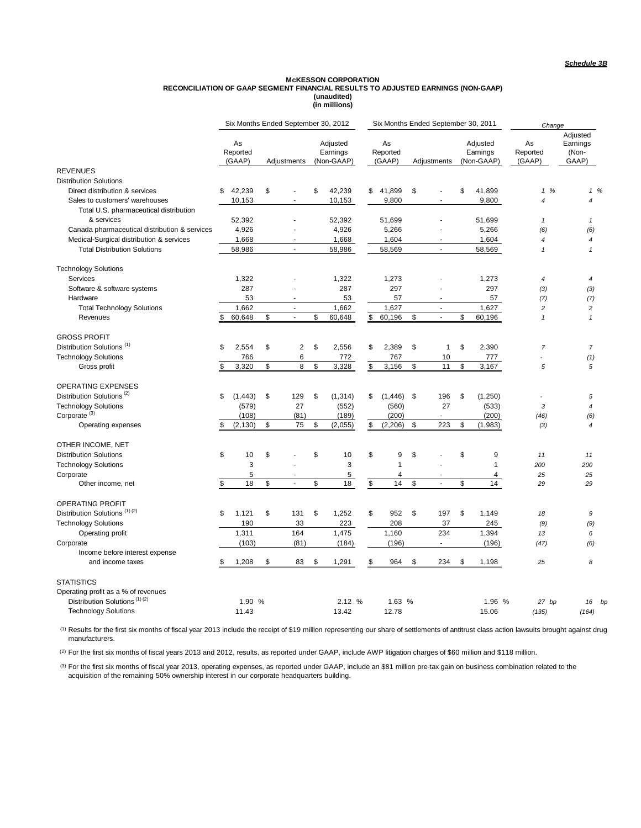#### **McKESSON CORPORATION (in millions) RECONCILIATION OF GAAP SEGMENT FINANCIAL RESULTS TO ADJUSTED EARNINGS (NON-GAAP) (unaudited)**

|                                                    | Six Months Ended September 30, 2012 |                                |                                    |     | Six Months Ended September 30, 2011 |                                |                                    | Change                   |                                        |
|----------------------------------------------------|-------------------------------------|--------------------------------|------------------------------------|-----|-------------------------------------|--------------------------------|------------------------------------|--------------------------|----------------------------------------|
|                                                    | As<br>Reported<br>(GAAP)            | Adjustments                    | Adjusted<br>Earnings<br>(Non-GAAP) |     | As<br>Reported<br>(GAAP)            | Adjustments                    | Adjusted<br>Earnings<br>(Non-GAAP) | As<br>Reported<br>(GAAP) | Adjusted<br>Earnings<br>(Non-<br>GAAP) |
| <b>REVENUES</b>                                    |                                     |                                |                                    |     |                                     |                                |                                    |                          |                                        |
| <b>Distribution Solutions</b>                      |                                     |                                |                                    |     |                                     |                                |                                    |                          |                                        |
| Direct distribution & services                     | \$<br>42,239                        | \$                             | \$<br>42,239                       | \$  | 41,899                              | \$                             | \$<br>41,899                       | 1%                       | 1%                                     |
| Sales to customers' warehouses                     | 10,153                              |                                | 10,153                             |     | 9,800                               |                                | 9,800                              | $\overline{4}$           | $\overline{4}$                         |
| Total U.S. pharmaceutical distribution             |                                     |                                |                                    |     |                                     |                                |                                    |                          |                                        |
| & services                                         | 52,392                              |                                | 52,392                             |     | 51,699                              | ÷.                             | 51,699                             | $\mathbf{1}$             | $\mathbf{1}$                           |
| Canada pharmaceutical distribution & services      | 4,926                               |                                | 4,926                              |     | 5,266                               |                                | 5,266                              | (6)                      | (6)                                    |
| Medical-Surgical distribution & services           | 1,668                               |                                | 1,668                              |     | 1,604                               | $\blacksquare$                 | 1,604                              | $\overline{4}$           | 4                                      |
| <b>Total Distribution Solutions</b>                | 58,986                              | L.                             | 58,986                             |     | 58,569                              | L.                             | 58,569                             | $\mathbf{1}$             | $\mathbf{1}$                           |
| <b>Technology Solutions</b>                        |                                     |                                |                                    |     |                                     |                                |                                    |                          |                                        |
| Services                                           | 1,322                               |                                | 1,322                              |     | 1,273                               |                                | 1,273                              | $\pmb{4}$                | 4                                      |
| Software & software systems                        | 287                                 |                                | 287                                |     | 297                                 |                                | 297                                | (3)                      | (3)                                    |
| Hardware                                           | 53                                  |                                | 53                                 |     | 57                                  |                                | 57                                 | (7)                      | (7)                                    |
| <b>Total Technology Solutions</b>                  | 1,662                               | $\sim$                         | 1,662                              |     | 1,627                               | $\sim$                         | 1,627                              | $\overline{c}$           | $\overline{c}$                         |
| Revenues                                           | 60,648                              | \$                             | \$<br>60,648                       | \$  | 60,196                              | \$                             | \$<br>60,196                       | $\mathbf{1}$             | $\boldsymbol{\mathcal{I}}$             |
| <b>GROSS PROFIT</b>                                |                                     |                                |                                    |     |                                     |                                |                                    |                          |                                        |
| Distribution Solutions <sup>(1)</sup>              | \$<br>2,554                         | \$<br>$\overline{c}$           | \$<br>2,556                        | \$  | 2,389                               | \$<br>$\mathbf{1}$             | \$<br>2,390                        | $\overline{7}$           | $\overline{7}$                         |
| <b>Technology Solutions</b>                        | 766                                 | 6                              | 772                                |     | 767                                 | 10                             | 777                                |                          | (1)                                    |
| Gross profit                                       | \$<br>3,320                         | \$<br>8                        | \$<br>3,328                        | \$  | 3,156                               | \$<br>11                       | \$<br>3,167                        | 5                        | 5                                      |
| <b>OPERATING EXPENSES</b>                          |                                     |                                |                                    |     |                                     |                                |                                    |                          |                                        |
| Distribution Solutions <sup>(2)</sup>              | \$<br>(1, 443)                      | \$<br>129                      | \$                                 |     | $(1,446)$ \$                        | 196                            | \$<br>(1,250)                      |                          | 5                                      |
| <b>Technology Solutions</b>                        | (579)                               | 27                             | (1, 314)<br>(552)                  | \$  | (560)                               | 27                             | (533)                              | 3                        | $\overline{4}$                         |
| Corporate <sup>(3)</sup>                           | (108)                               | (81)                           | (189)                              |     | (200)                               | $\overline{\phantom{a}}$       | (200)                              | (46)                     | (6)                                    |
| Operating expenses                                 | (2, 130)                            | \$<br>75                       | \$<br>(2,055)                      | \$  | (2, 206)                            | \$<br>223                      | \$<br>(1,983)                      | (3)                      | $\overline{4}$                         |
|                                                    |                                     |                                |                                    |     |                                     |                                |                                    |                          |                                        |
| OTHER INCOME, NET<br><b>Distribution Solutions</b> | \$<br>10                            | \$                             | \$<br>10                           | \$  | 9                                   | \$                             | \$<br>9                            | 11                       | 11                                     |
| <b>Technology Solutions</b>                        | 3                                   | L                              | 3                                  |     | $\overline{1}$                      |                                | $\mathbf{1}$                       | 200                      | 200                                    |
| Corporate                                          | 5                                   |                                | 5                                  |     | $\overline{4}$                      |                                | 4                                  | 25                       | 25                                     |
| Other income, net                                  | \$<br>18                            | \$<br>$\overline{\phantom{a}}$ | \$<br>18                           | \$  | 14                                  | \$<br>$\overline{\phantom{a}}$ | \$<br>14                           | 29                       | 29                                     |
|                                                    |                                     |                                |                                    |     |                                     |                                |                                    |                          |                                        |
| <b>OPERATING PROFIT</b>                            |                                     |                                |                                    |     |                                     |                                |                                    |                          |                                        |
| Distribution Solutions <sup>(1)(2)</sup>           | \$<br>1,121                         | \$<br>131                      | \$<br>1,252                        | \$  | 952                                 | \$<br>197                      | \$<br>1,149                        | 18                       | 9                                      |
| <b>Technology Solutions</b>                        | 190                                 | 33                             | 223                                |     | 208                                 | 37                             | 245                                | (9)                      | (9)                                    |
| Operating profit                                   | 1,311                               | 164                            | 1,475                              |     | 1,160                               | 234                            | 1,394                              | 13                       | 6                                      |
| Corporate                                          | (103)                               | (81)                           | (184)                              |     | (196)                               | $\blacksquare$                 | (196)                              | (47)                     | (6)                                    |
| Income before interest expense<br>and income taxes | 1,208                               | \$<br>83                       | \$<br>1,291                        | \$. | 964                                 | \$<br>234                      | \$<br>1,198                        | 25                       | 8                                      |
|                                                    |                                     |                                |                                    |     |                                     |                                |                                    |                          |                                        |
| <b>STATISTICS</b>                                  |                                     |                                |                                    |     |                                     |                                |                                    |                          |                                        |
| Operating profit as a % of revenues                |                                     |                                |                                    |     |                                     |                                |                                    |                          |                                        |
| Distribution Solutions <sup>(1)(2)</sup>           | 1.90 %                              |                                | 2.12 %                             |     | 1.63 %                              |                                | 1.96 %                             | $27$ bp                  | 16<br>bp                               |
| <b>Technology Solutions</b>                        | 11.43                               |                                | 13.42                              |     | 12.78                               |                                | 15.06                              | (135)                    | (164)                                  |

(1) Results for the first six months of fiscal year 2013 include the receipt of \$19 million representing our share of settlements of antitrust class action lawsuits brought against drug manufacturers.

(2) For the first six months of fiscal years 2013 and 2012, results, as reported under GAAP, include AWP litigation charges of \$60 million and \$118 million.

<sup>(3)</sup> For the first six months of fiscal year 2013, operating expenses, as reported under GAAP, include an \$81 million pre-tax gain on business combination related to the acquisition of the remaining 50% ownership interest in our corporate headquarters building.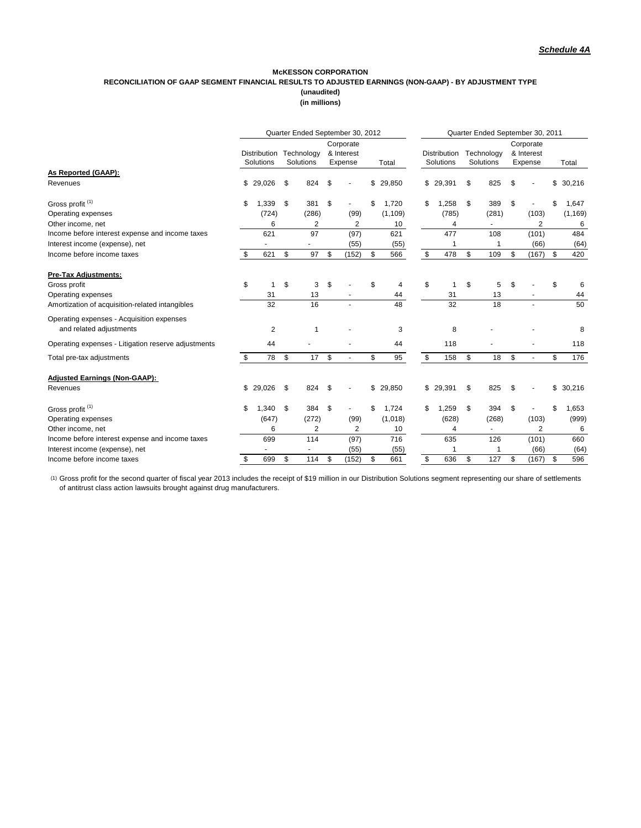#### **McKESSON CORPORATION RECONCILIATION OF GAAP SEGMENT FINANCIAL RESULTS TO ADJUSTED EARNINGS (NON-GAAP) - BY ADJUSTMENT TYPE (unaudited)**

**(in millions)**

|                                                                      |    |                                      |                | Quarter Ended September 30, 2012   |              |                           | Quarter Ended September 30, 2011 |    |                                    |              |
|----------------------------------------------------------------------|----|--------------------------------------|----------------|------------------------------------|--------------|---------------------------|----------------------------------|----|------------------------------------|--------------|
|                                                                      |    | Distribution Technology<br>Solutions | Solutions      | Corporate<br>& Interest<br>Expense | Total        | Distribution<br>Solutions | Technology<br>Solutions          |    | Corporate<br>& Interest<br>Expense | Total        |
| As Reported (GAAP):                                                  |    |                                      |                |                                    |              |                           |                                  |    |                                    |              |
| Revenues                                                             | \$ | 29,026                               | \$<br>824      | \$                                 | \$<br>29,850 | \$<br>29,391              | \$<br>825                        | S  |                                    | \$<br>30,216 |
| Gross profit <sup>(1)</sup>                                          | S  | 1,339                                | \$<br>381      | \$                                 | \$<br>1,720  | \$<br>.258                | \$<br>389                        | \$ |                                    | 1,647        |
| Operating expenses                                                   |    | (724)                                | (286)          | (99)                               | (1, 109)     | (785)                     | (281)                            |    | (103)                              | (1, 169)     |
| Other income, net                                                    |    | 6                                    | $\overline{2}$ | 2                                  | 10           | 4                         |                                  |    | 2                                  | 6            |
| Income before interest expense and income taxes                      |    | 621                                  | 97             | (97)                               | 621          | 477                       | 108                              |    | (101)                              | 484          |
| Interest income (expense), net                                       |    |                                      |                | (55)                               | (55)         | 1                         | 1                                |    | (66)                               | (64)         |
| Income before income taxes                                           | \$ | 621                                  | \$<br>97       | \$<br>(152)                        | \$<br>566    | \$<br>478                 | \$<br>109                        | \$ | (167)                              | \$<br>420    |
| <b>Pre-Tax Adjustments:</b>                                          |    |                                      |                |                                    |              |                           |                                  |    |                                    |              |
| Gross profit                                                         | \$ | 1                                    | \$<br>3        | \$                                 | \$<br>4      | \$                        | \$<br>5                          |    |                                    | \$<br>6      |
| Operating expenses                                                   |    | 31                                   | 13             |                                    | 44           | 31                        | 13                               |    |                                    | 44           |
| Amortization of acquisition-related intangibles                      |    | $\overline{32}$                      | 16             |                                    | 48           | 32                        | 18                               |    |                                    | 50           |
| Operating expenses - Acquisition expenses<br>and related adjustments |    | $\overline{2}$                       | 1              |                                    | 3            | 8                         |                                  |    |                                    | 8            |
| Operating expenses - Litigation reserve adjustments                  |    | 44                                   |                |                                    | 44           | 118                       |                                  |    |                                    | 118          |
| Total pre-tax adjustments                                            | \$ | 78                                   | \$<br>17       | \$                                 | \$<br>95     | \$<br>158                 | \$<br>18                         | \$ |                                    | \$<br>176    |
| <b>Adjusted Earnings (Non-GAAP):</b>                                 |    |                                      |                |                                    |              |                           |                                  |    |                                    |              |
| Revenues                                                             | \$ | 29,026                               | \$<br>824      | \$                                 | \$ 29,850    | \$ 29,391                 | \$<br>825                        | \$ |                                    | \$<br>30,216 |
| Gross profit <sup>(1)</sup>                                          | \$ | 1,340                                | \$<br>384      | \$                                 | \$<br>1,724  | \$<br>1,259               | \$<br>394                        | \$ |                                    | \$<br>1,653  |
| Operating expenses                                                   |    | (647)                                | (272)          | (99)                               | (1,018)      | (628)                     | (268)                            |    | (103)                              | (999)        |
| Other income, net                                                    |    | 6                                    | $\overline{2}$ | $\overline{2}$                     | 10           | 4                         |                                  |    | 2                                  | 6            |
| Income before interest expense and income taxes                      |    | 699                                  | 114            | (97)                               | 716          | 635                       | 126                              |    | (101)                              | 660          |
| Interest income (expense), net                                       |    |                                      | ٠              | (55)                               | (55)         | 1                         | 1                                |    | (66)                               | (64)         |
| Income before income taxes                                           | \$ | 699                                  | \$<br>114      | \$<br>(152)                        | \$<br>661    | \$<br>636                 | \$<br>127                        | \$ | (167)                              | \$<br>596    |

(1) Gross profit for the second quarter of fiscal year 2013 includes the receipt of \$19 million in our Distribution Solutions segment representing our share of settlements of antitrust class action lawsuits brought against drug manufacturers.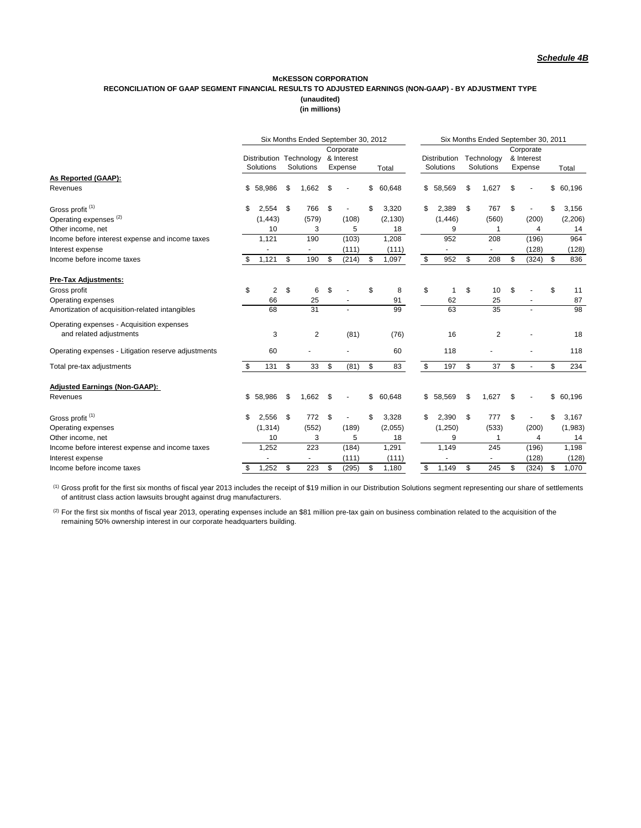#### **(in millions) McKESSON CORPORATION RECONCILIATION OF GAAP SEGMENT FINANCIAL RESULTS TO ADJUSTED EARNINGS (NON-GAAP) - BY ADJUSTMENT TYPE (unaudited)**

|                                                                      | Six Months Ended September 30, 2011<br>Six Months Ended September 30, 2012 |                                      |    |           |    |                                    |    |          |    |                           |                         |    |                                    |    |          |
|----------------------------------------------------------------------|----------------------------------------------------------------------------|--------------------------------------|----|-----------|----|------------------------------------|----|----------|----|---------------------------|-------------------------|----|------------------------------------|----|----------|
|                                                                      |                                                                            | Distribution Technology<br>Solutions |    | Solutions |    | Corporate<br>& Interest<br>Expense |    | Total    |    | Distribution<br>Solutions | Technology<br>Solutions |    | Corporate<br>& Interest<br>Expense |    | Total    |
| As Reported (GAAP):                                                  |                                                                            |                                      |    |           |    |                                    |    |          |    |                           |                         |    |                                    |    |          |
| Revenues                                                             | \$                                                                         | 58,986                               | \$ | 1,662     | \$ |                                    | \$ | 60,648   |    | \$58,569                  | \$<br>1,627             | \$ |                                    | \$ | 60,196   |
| Gross profit <sup>(1)</sup>                                          | \$                                                                         | 2,554                                | \$ | 766       | \$ |                                    | \$ | 3,320    | \$ | 2,389                     | \$<br>767               | \$ |                                    | \$ | 3,156    |
| Operating expenses <sup>(2)</sup>                                    |                                                                            | (1, 443)                             |    | (579)     |    | (108)                              |    | (2, 130) |    | (1, 446)                  | (560)                   |    | (200)                              |    | (2, 206) |
| Other income, net                                                    |                                                                            | 10                                   |    | 3         |    | 5                                  |    | 18       |    | 9                         |                         |    | 4                                  |    | 14       |
| Income before interest expense and income taxes                      |                                                                            | 1,121                                |    | 190       |    | (103)                              |    | 1,208    |    | 952                       | 208                     |    | (196)                              |    | 964      |
| Interest expense                                                     |                                                                            |                                      |    |           |    | (111)                              |    | (111)    |    |                           |                         |    | (128)                              |    | (128)    |
| Income before income taxes                                           | \$                                                                         | 1,121                                | \$ | 190       | \$ | (214)                              | \$ | 1,097    | \$ | 952                       | \$<br>208               | \$ | (324)                              | \$ | 836      |
| Pre-Tax Adjustments:                                                 |                                                                            |                                      |    |           |    |                                    |    |          |    |                           |                         |    |                                    |    |          |
| Gross profit                                                         | \$                                                                         | $\overline{2}$                       | \$ | 6         | \$ |                                    | \$ | 8        | \$ | 1                         | \$<br>10                | \$ |                                    | \$ | 11       |
| Operating expenses                                                   |                                                                            | 66                                   |    | 25        |    |                                    |    | 91       |    | 62                        | 25                      |    |                                    |    | 87       |
| Amortization of acquisition-related intangibles                      |                                                                            | 68                                   |    | 31        |    |                                    |    | 99       |    | 63                        | 35                      |    |                                    |    | 98       |
| Operating expenses - Acquisition expenses<br>and related adjustments |                                                                            | 3                                    |    | 2         |    | (81)                               |    | (76)     |    | 16                        | 2                       |    |                                    |    | 18       |
| Operating expenses - Litigation reserve adjustments                  |                                                                            | 60                                   |    |           |    |                                    |    | 60       |    | 118                       |                         |    |                                    |    | 118      |
|                                                                      |                                                                            |                                      |    |           |    |                                    |    |          |    |                           |                         |    |                                    |    |          |
| Total pre-tax adjustments                                            | \$                                                                         | 131                                  | \$ | 33        | \$ | (81)                               | \$ | 83       | \$ | 197                       | \$<br>37                | \$ | $\blacksquare$                     | \$ | 234      |
| <b>Adjusted Earnings (Non-GAAP):</b>                                 |                                                                            |                                      |    |           |    |                                    |    |          |    |                           |                         |    |                                    |    |          |
| Revenues                                                             | \$                                                                         | 58.986                               | \$ | 1.662     | \$ |                                    | \$ | 60,648   |    | \$58.569                  | \$<br>1.627             | S  |                                    | \$ | 60,196   |
| Gross profit <sup>(1)</sup>                                          | \$                                                                         | 2.556                                | \$ | 772       | \$ |                                    | \$ | 3,328    | \$ | 2,390                     | \$<br>777               | \$ |                                    | \$ | 3,167    |
| Operating expenses                                                   |                                                                            | (1, 314)                             |    | (552)     |    | (189)                              |    | (2,055)  |    | (1,250)                   | (533)                   |    | (200)                              |    | (1,983)  |
| Other income, net                                                    |                                                                            | 10                                   |    | 3         |    | 5                                  |    | 18       |    | 9                         | 1                       |    | 4                                  |    | 14       |
| Income before interest expense and income taxes                      |                                                                            | 1,252                                |    | 223       |    | (184)                              |    | 1,291    |    | 1,149                     | 245                     |    | (196)                              |    | 1,198    |
| Interest expense                                                     |                                                                            |                                      |    |           |    | (111)                              |    | (111)    |    |                           |                         |    | (128)                              |    | (128)    |
| Income before income taxes                                           | \$                                                                         | 1,252                                | \$ | 223       | \$ | (295)                              | \$ | 1.180    | \$ | 1.149                     | \$<br>245               | \$ | (324)                              | \$ | 1,070    |

(1) Gross profit for the first six months of fiscal year 2013 includes the receipt of \$19 million in our Distribution Solutions segment representing our share of settlements of antitrust class action lawsuits brought against drug manufacturers.

 $^{(2)}$  For the first six months of fiscal year 2013, operating expenses include an \$81 million pre-tax gain on business combination related to the acquisition of the remaining 50% ownership interest in our corporate headquarters building.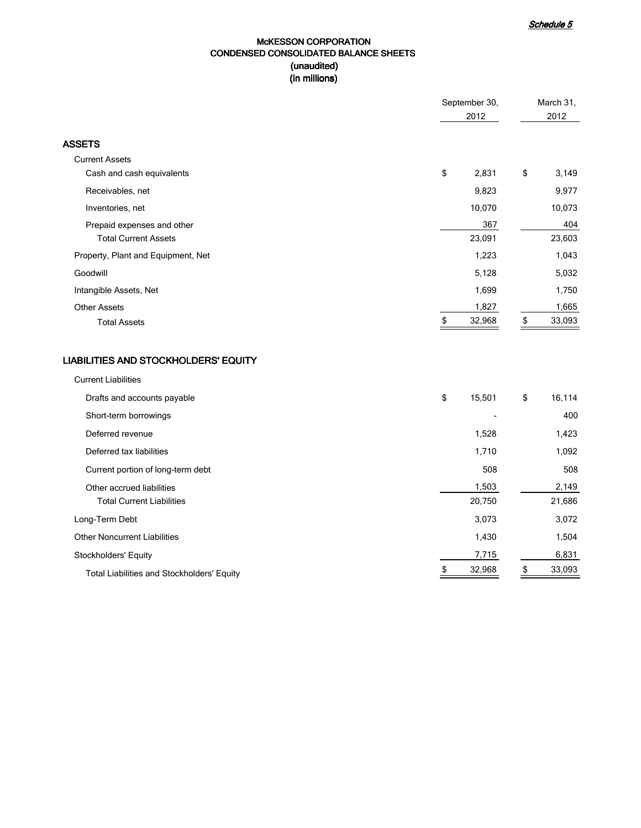## McKESSON CORPORATION CONDENSED CONSOLIDATED BALANCE SHEETS (unaudited) (in millions)

|                                             | September 30,<br>2012 | March 31,<br>2012 |
|---------------------------------------------|-----------------------|-------------------|
| <b>ASSETS</b>                               |                       |                   |
| <b>Current Assets</b>                       |                       |                   |
| Cash and cash equivalents                   | \$<br>2,831           | \$<br>3,149       |
| Receivables, net                            | 9,823                 | 9,977             |
| Inventories, net                            | 10,070                | 10,073            |
| Prepaid expenses and other                  | 367                   | 404               |
| <b>Total Current Assets</b>                 | 23,091                | 23,603            |
| Property, Plant and Equipment, Net          | 1,223                 | 1,043             |
| Goodwill                                    | 5,128                 | 5,032             |
| Intangible Assets, Net                      | 1,699                 | 1,750             |
| Other Assets                                | 1,827                 | 1,665             |
| <b>Total Assets</b>                         | \$<br>32,968          | \$<br>33,093      |
| <b>LIABILITIES AND STOCKHOLDERS' EQUITY</b> |                       |                   |
| <b>Current Liabilities</b>                  |                       |                   |
| Drafts and accounts payable                 | \$<br>15,501          | \$<br>16,114      |
| Short-term borrowings                       |                       | 400               |
| Deferred revenue                            | 1,528                 | 1,423             |
| Deferred tax liabilities                    | 1,710                 | 1,092             |
| Current portion of long-term debt           | 508                   | 508               |
| Other accrued liabilities                   | 1,503                 | 2,149             |
| <b>Total Current Liabilities</b>            | 20,750                | 21,686            |
| Long-Term Debt                              | 3,073                 | 3,072             |
|                                             |                       |                   |

| Other Noncurrent Liabilities               | 1.430  | .504   |
|--------------------------------------------|--------|--------|
| Stockholders' Equity                       | 7.715  | 6.831  |
| Total Liabilities and Stockholders' Equity | 32.968 | 33,093 |